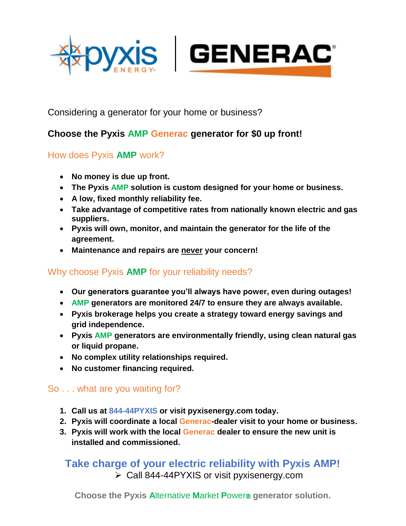



Considering a generator for your home or business?

# **Choose the Pyxis AMP Generac generator for \$0 up front!**

## How does Pyxis **AMP** work?

- **No money is due up front.**
- **The Pyxis AMP solution is custom designed for your home or business.**
- **A low, fixed monthly reliability fee.**
- **Take advantage of competitive rates from nationally known electric and gas suppliers.**
- **Pyxis will own, monitor, and maintain the generator for the life of the agreement.**
- **Maintenance and repairs are never your concern!**

## Why choose Pyxis **AMP** for your reliability needs?

- **Our generators guarantee you'll always have power, even during outages!**
- **AMP generators are monitored 24/7 to ensure they are always available.**
- **Pyxis brokerage helps you create a strategy toward energy savings and grid independence.**
- **Pyxis AMP generators are environmentally friendly, using clean natural gas or liquid propane.**
- **No complex utility relationships required.**
- **No customer financing required.**

#### So . . . what are you waiting for?

- **1. Call us at 844-44PYXIS or visit pyxisenergy.com today.**
- **2. Pyxis will coordinate a local Generac-dealer visit to your home or business.**
- **3. Pyxis will work with the local Generac dealer to ensure the new unit is installed and commissioned.**

**Take charge of your electric reliability with Pyxis AMP!** ➢ Call 844-44PYXIS or visit pyxisenergy.com

**Choose the Pyxis Alternative Market Power® generator solution.**